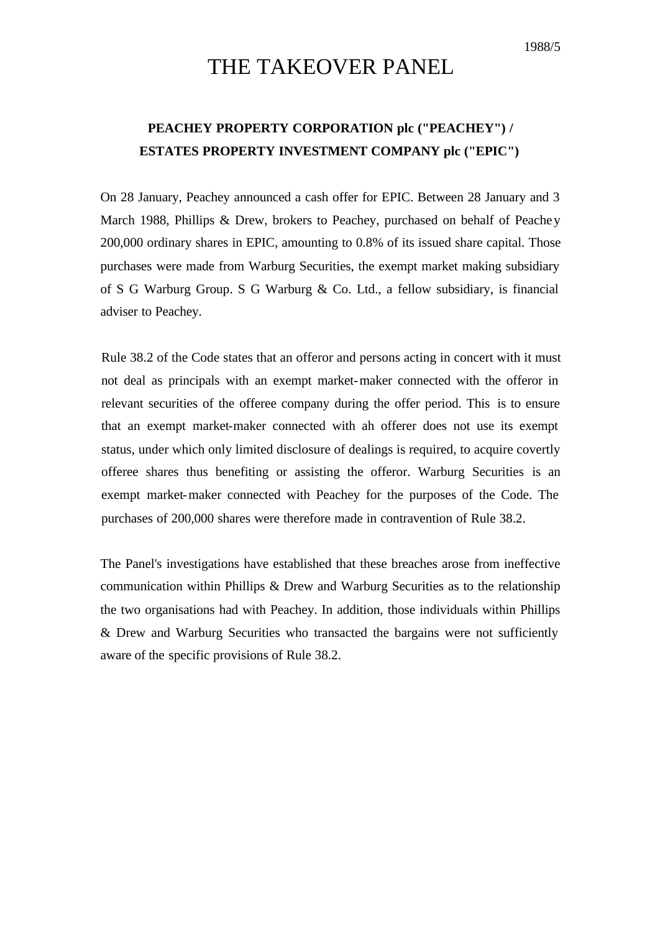## 1988/5

## THE TAKEOVER PANEL

## **PEACHEY PROPERTY CORPORATION plc ("PEACHEY") / ESTATES PROPERTY INVESTMENT COMPANY plc ("EPIC")**

On 28 January, Peachey announced a cash offer for EPIC. Between 28 January and 3 March 1988, Phillips & Drew, brokers to Peachey, purchased on behalf of Peachey 200,000 ordinary shares in EPIC, amounting to 0.8% of its issued share capital. Those purchases were made from Warburg Securities, the exempt market making subsidiary of S G Warburg Group. S G Warburg & Co. Ltd., a fellow subsidiary, is financial adviser to Peachey.

Rule 38.2 of the Code states that an offeror and persons acting in concert with it must not deal as principals with an exempt market-maker connected with the offeror in relevant securities of the offeree company during the offer period. This is to ensure that an exempt market-maker connected with ah offerer does not use its exempt status, under which only limited disclosure of dealings is required, to acquire covertly offeree shares thus benefiting or assisting the offeror. Warburg Securities is an exempt market-maker connected with Peachey for the purposes of the Code. The purchases of 200,000 shares were therefore made in contravention of Rule 38.2.

The Panel's investigations have established that these breaches arose from ineffective communication within Phillips & Drew and Warburg Securities as to the relationship the two organisations had with Peachey. In addition, those individuals within Phillips & Drew and Warburg Securities who transacted the bargains were not sufficiently aware of the specific provisions of Rule 38.2.